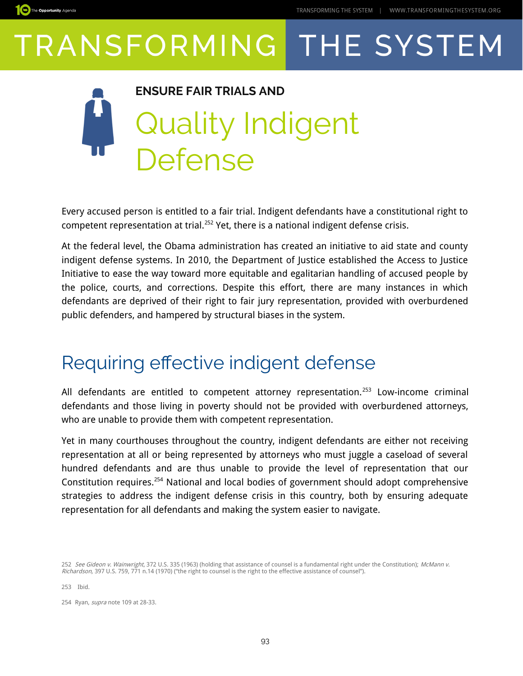

### **ENSURE FAIR TRIALS AND** Quality Indigent Defense

Every accused person is entitled to a fair trial. Indigent defendants have a constitutional right to competent representation at trial.<sup>[252](#page-0-0)</sup> Yet, there is a national indigent defense crisis.

At the federal level, the Obama administration has created an initiative to aid state and county indigent defense systems. In 2010, the Department of Justice established the Access to Justice Initiative to ease the way toward more equitable and egalitarian handling of accused people by the police, courts, and corrections. Despite this effort, there are many instances in which defendants are deprived of their right to fair jury representation, provided with overburdened public defenders, and hampered by structural biases in the system.

### Requiring efective indigent defense

All defendants are entitled to competent attorney representation.<sup>[253](#page-0-1)</sup> Low-income criminal defendants and those living in poverty should not be provided with overburdened attorneys, who are unable to provide them with competent representation.

Yet in many courthouses throughout the country, indigent defendants are either not receiving representation at all or being represented by attorneys who must juggle a caseload of several hundred defendants and are thus unable to provide the level of representation that our Constitution requires.[254](#page-0-2) National and local bodies of government should adopt comprehensive strategies to address the indigent defense crisis in this country, both by ensuring adequate representation for all defendants and making the system easier to navigate.

<span id="page-0-2"></span>254 Ryan, supra note 109 at 28-33.

<span id="page-0-0"></span><sup>252</sup> See Gideon v. Wainwright, 372 U.S. 335 (1963) (holding that assistance of counsel is a fundamental right under the Constitution); McMann v. Richardson, 397 U.S. 759, 771 n.14 (1970) ("the right to counsel is the right to the effective assistance of counsel").

<span id="page-0-1"></span><sup>253</sup> Ibid.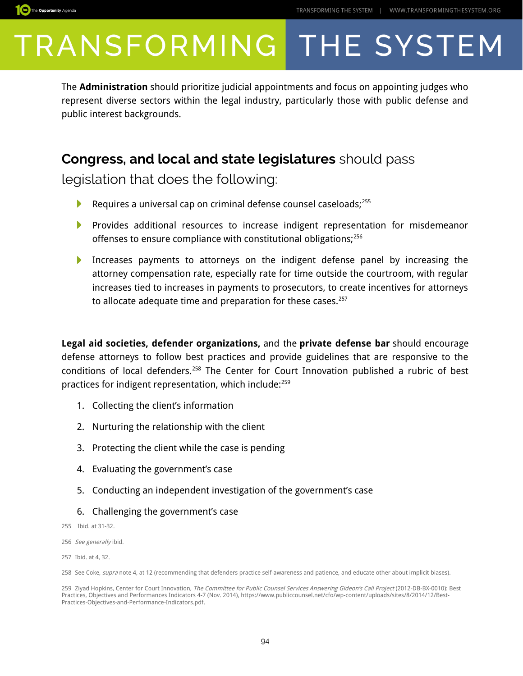

The **Administration** should prioritize judicial appointments and focus on appointing judges who represent diverse sectors within the legal industry, particularly those with public defense and public interest backgrounds.

#### **Congress, and local and state legislatures** should pass

legislation that does the following:

- Requires a universal cap on criminal defense counsel caseloads;<sup>[255](#page-1-0)</sup> Þ
- Provides additional resources to increase indigent representation for misdemeanor offenses to ensure compliance with constitutional obligations;<sup>[256](#page-1-1)</sup>
- ▶ Increases payments to attorneys on the indigent defense panel by increasing the attorney compensation rate, especially rate for time outside the courtroom, with regular increases tied to increases in payments to prosecutors, to create incentives for attorneys to allocate adequate time and preparation for these cases.<sup>[257](#page-1-2)</sup>

**Legal aid societies, defender organizations,** and the **private defense bar** should encourage defense attorneys to follow best practices and provide guidelines that are responsive to the conditions of local defenders.<sup>[258](#page-1-3)</sup> The Center for Court Innovation published a rubric of best practices for indigent representation, which include:[259](#page-1-4)

- 1. Collecting the client's information
- 2. Nurturing the relationship with the client
- 3. Protecting the client while the case is pending
- 4. Evaluating the government's case
- 5. Conducting an independent investigation of the government's case
- 6. Challenging the government's case
- <span id="page-1-0"></span>255 Ibid. at 31-32.
- <span id="page-1-1"></span>256 See generally ibid.

<span id="page-1-2"></span><sup>257</sup> Ibid. at 4, 32.

<span id="page-1-3"></span><sup>258</sup> See Coke, *supra* note 4, at 12 (recommending that defenders practice self-awareness and patience, and educate other about implicit biases).

<span id="page-1-4"></span><sup>259</sup> Ziyad Hopkins, Center for Court Innovation, The Committee for Public Counsel Services Answering Gideon's Call Project (2012-DB-BX-0010): Best Practices, Objectives and Performances Indicators 4-7 (Nov. 2014), https://www.publiccounsel.net/cfo/wp-content/uploads/sites/8/2014/12/Best-Practices-Objectives-and-Performance-Indicators.pdf.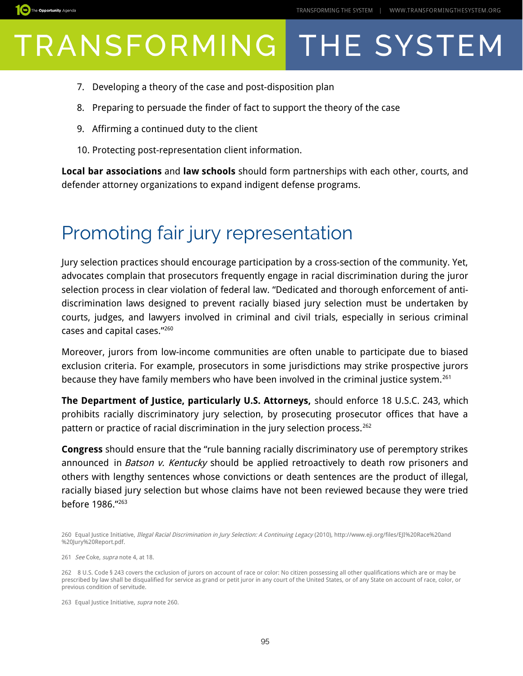

- 7. Developing a theory of the case and post-disposition plan
- 8. Preparing to persuade the finder of fact to support the theory of the case
- 9. Affirming a continued duty to the client
- 10. Protecting post-representation client information.

**Local bar associations** and **law schools** should form partnerships with each other, courts, and defender attorney organizations to expand indigent defense programs.

### Promoting fair jury representation

Jury selection practices should encourage participation by a cross-section of the community. Yet, advocates complain that prosecutors frequently engage in racial discrimination during the juror selection process in clear violation of federal law. "Dedicated and thorough enforcement of antidiscrimination laws designed to prevent racially biased jury selection must be undertaken by courts, judges, and lawyers involved in criminal and civil trials, especially in serious criminal cases and capital cases."[260](#page-2-0)

Moreover, jurors from low-income communities are often unable to participate due to biased exclusion criteria. For example, prosecutors in some jurisdictions may strike prospective jurors because they have family members who have been involved in the criminal justice system.<sup>[261](#page-2-1)</sup>

**The Department of Justice, particularly U.S. Attorneys,** should enforce 18 U.S.C. 243, which prohibits racially discriminatory jury selection, by prosecuting prosecutor offices that have a pattern or practice of racial discrimination in the jury selection process.<sup>[262](#page-2-2)</sup>

**Congress** should ensure that the "rule banning racially discriminatory use of peremptory strikes announced in Batson v. Kentucky should be applied retroactively to death row prisoners and others with lengthy sentences whose convictions or death sentences are the product of illegal, racially biased jury selection but whose claims have not been reviewed because they were tried before 1986."[263](#page-2-3)

<span id="page-2-1"></span>261 See Coke, supra note 4, at 18.

<span id="page-2-0"></span><sup>260</sup> Equal Justice Initiative, Illegal Racial Discrimination in Jury Selection: A Continuing Legacy (2010), http://www.eji.org/files/EJI%20Race%20and %20Jury%20Report.pdf.

<span id="page-2-2"></span><sup>262 8</sup> U.S. Code § 243 covers the cxclusion of jurors on account of race or color: No citizen possessing all other qualifications which are or may be prescribed by law shall be disqualified for service as grand or petit juror in any court of the United States, or of any State on account of race, color, or previous condition of servitude.

<span id="page-2-3"></span><sup>263</sup> Equal Justice Initiative, supra note 260.